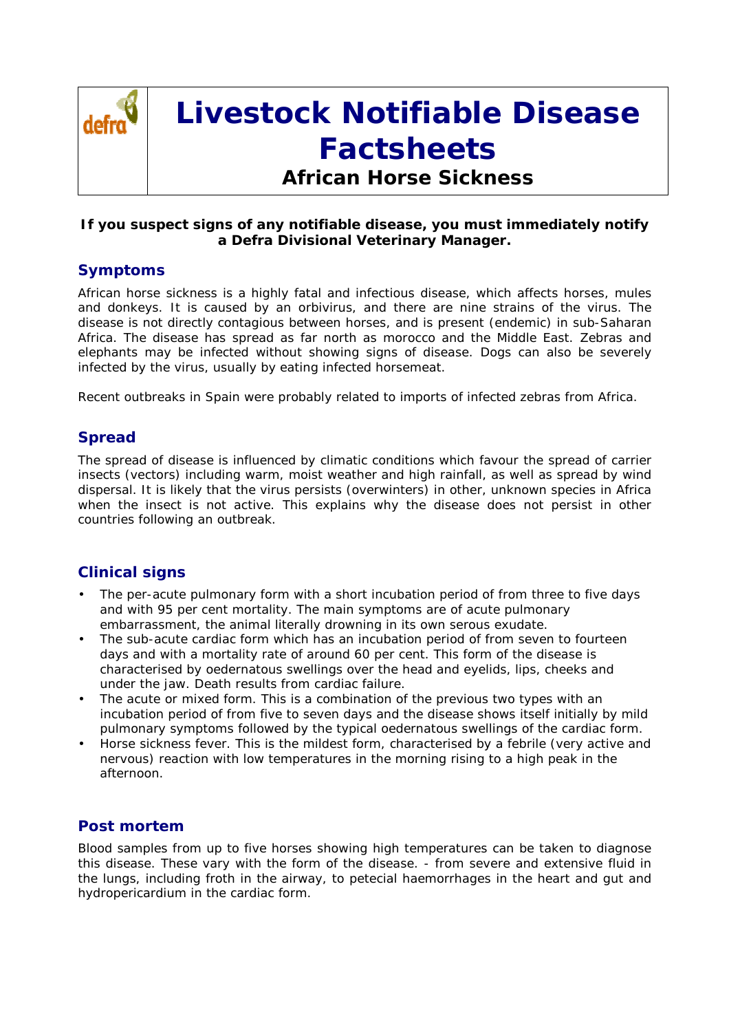

# **Livestock Notifiable Disease Factsheets**

**African Horse Sickness**

#### **If you suspect signs of any notifiable disease, you must immediately notify a Defra Divisional Veterinary Manager.**

#### **Symptoms**

African horse sickness is a highly fatal and infectious disease, which affects horses, mules and donkeys. It is caused by an orbivirus, and there are nine strains of the virus. The disease is not directly contagious between horses, and is present (endemic) in sub-Saharan Africa. The disease has spread as far north as morocco and the Middle East. Zebras and elephants may be infected without showing signs of disease. Dogs can also be severely infected by the virus, usually by eating infected horsemeat.

Recent outbreaks in Spain were probably related to imports of infected zebras from Africa.

# **Spread**

The spread of disease is influenced by climatic conditions which favour the spread of carrier insects (vectors) including warm, moist weather and high rainfall, as well as spread by wind dispersal. It is likely that the virus persists (overwinters) in other, unknown species in Africa when the insect is not active. This explains why the disease does not persist in other countries following an outbreak.

# **Clinical signs**

- The per-acute pulmonary form with a short incubation period of from three to five days and with 95 per cent mortality. The main symptoms are of acute pulmonary embarrassment, the animal literally drowning in its own serous exudate.
- The sub-acute cardiac form which has an incubation period of from seven to fourteen days and with a mortality rate of around 60 per cent. This form of the disease is characterised by oedernatous swellings over the head and eyelids, lips, cheeks and under the jaw. Death results from cardiac failure.
- The acute or mixed form. This is a combination of the previous two types with an incubation period of from five to seven days and the disease shows itself initially by mild pulmonary symptoms followed by the typical oedernatous swellings of the cardiac form.
- Horse sickness fever. This is the mildest form, characterised by a febrile (very active and nervous) reaction with low temperatures in the morning rising to a high peak in the afternoon.

# **Post mortem**

Blood samples from up to five horses showing high temperatures can be taken to diagnose this disease. These vary with the form of the disease. - from severe and extensive fluid in the lungs, including froth in the airway, to petecial haemorrhages in the heart and gut and hydropericardium in the cardiac form.